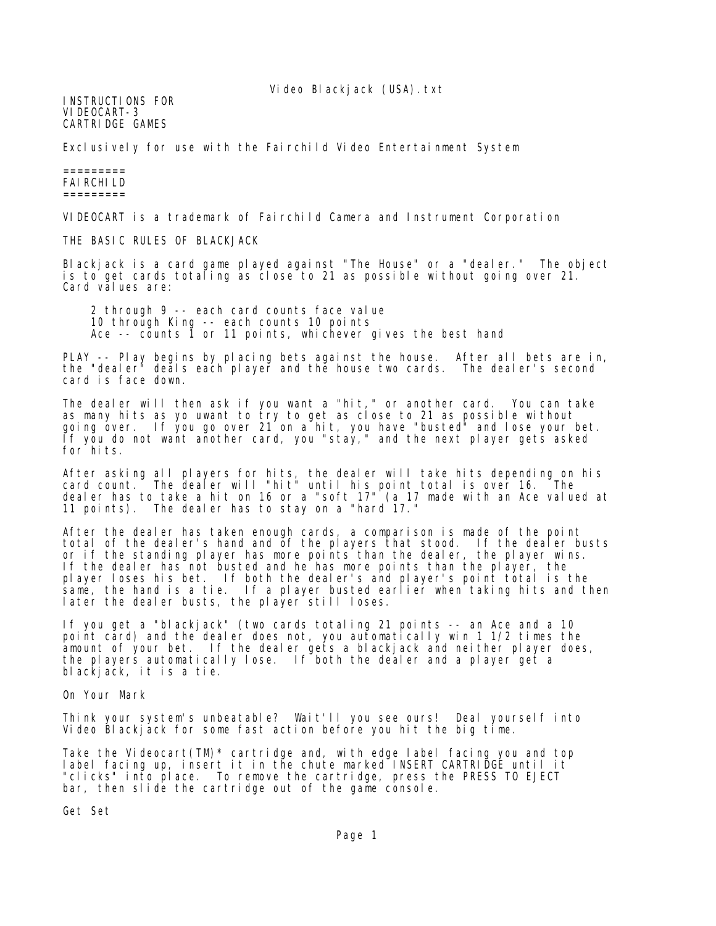Video Blackjack (USA).txt

INSTRUCTIONS FOR VIDEOCART-3 CARTRIDGE GAMES

Exclusively for use with the Fairchild Video Entertainment System

## ========= FAIRCHILD =========

VIDEOCART is a trademark of Fairchild Camera and Instrument Corporation

THE BASIC RULES OF BLACKJACK

Blackjack is a card game played against "The House" or a "dealer." The object is to get cards totaling as close to 21 as possible without going over 21. Card values are:

 2 through 9 -- each card counts face value 10 through King -- each counts 10 points Ace -- counts 1 or 11 points, whichever gives the best hand

PLAY -- Play begins by placing bets against the house. After all bets are in, the "dealer" deals each player and the house two cards. The dealer's second card is face down.

The dealer will then ask if you want a "hit," or another card. You can take as many hits as yo uwant to try to get as close to 21 as possible without going over. If you go over 21 on a hit, you have "busted" and lose your bet. If you do not want another card, you "stay," and the next player gets asked for hits.

After asking all players for hits, the dealer will take hits depending on his card count. The dealer will "hit" until his point total is over 16. The dealer has to take a hit on 16 or a "soft 17" (a 17 made with an Ace valued at 11 points). The dealer has to stay on a "hard 17."

After the dealer has taken enough cards, a comparison is made of the point total of the dealer's hand and of the players that stood. If the dealer busts or if the standing player has more points than the dealer, the player wins. If the dealer has not busted and he has more points than the player, the player loses his bet. If both the dealer's and player's point total is the same, the hand is a tie. If a player busted earlier when taking hits and then later the dealer busts, the player still loses.

If you get a "blackjack" (two cards totaling 21 points -- an Ace and a 10 point card) and the dealer does not, you automatically win 1 1/2 times the amount of your bet. If the dealer gets a blackjack and neither player does, the players automatically lose. If both the dealer and a player get a blackjack, it is a tie.

On Your Mark

Think your system's unbeatable? Wait'll you see ours! Deal yourself into Video Blackjack for some fast action before you hit the big time.

Take the Videocart(TM)\* cartridge and, with edge label facing you and top label facing up, insert it in the chute marked INSERT CARTRIDGE until it "clicks" into place. To remove the cartridge, press the PRESS TO EJECT bar, then slide the cartridge out of the game console.

Get Set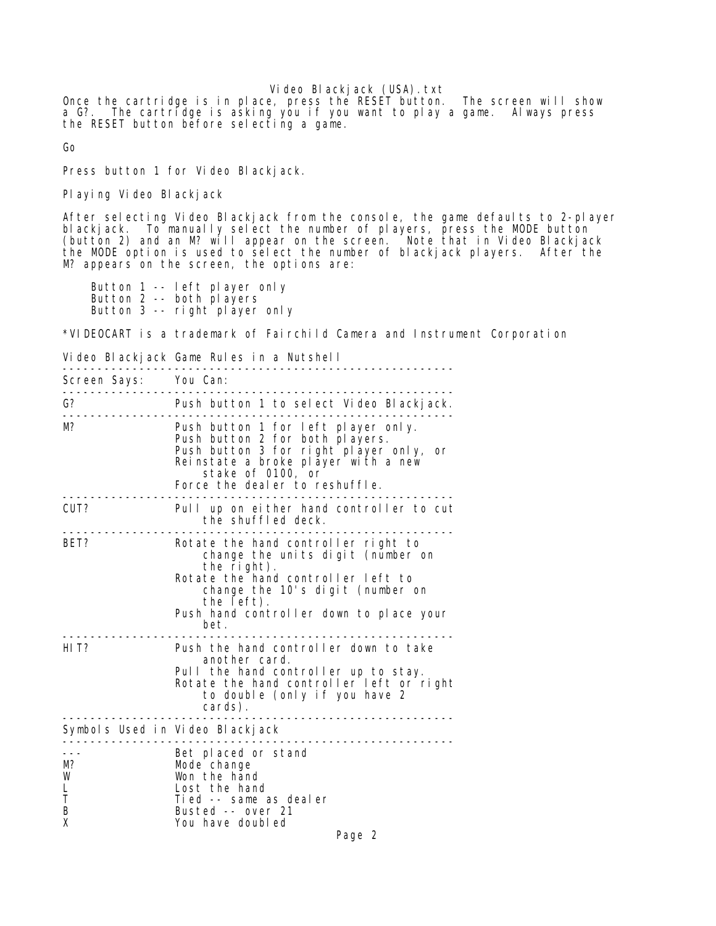Video Blackjack (USA).txt

Once the cartridge is in place, press the RESET button. The screen will show a G?. The cartridge is asking you if you want to play a game. Always press the RESET button before selecting a game.

Go

Press button 1 for Video Blackjack.

Playing Video Blackjack

After selecting Video Blackjack from the console, the game defaults to 2-player blackjack. To manually select the number of players, press the MODE button (button 2) and an M? will appear on the screen. Note that in Video Blackjack the MODE option is used to select the number of blackjack players. After the M? appears on the screen, the options are:

 Button 1 -- left player only Button 2 -- both players Button 3 -- right player only

\*VIDEOCART is a trademark of Fairchild Camera and Instrument Corporation

Video Blackjack Game Rules in a Nutshell

| Screen Says: You Can:  |                                                                                                                                                                                                                                    |
|------------------------|------------------------------------------------------------------------------------------------------------------------------------------------------------------------------------------------------------------------------------|
| G?                     | Push button 1 to select Video Blackjack.                                                                                                                                                                                           |
| M?                     | Push button 1 for left player only.<br>Push button 2 for both players.<br>Push button 3 for right player only,<br>or<br>Reinstate a broke player with a new<br>stake of 0100, or<br>Force the deal er to reshuffle.                |
| CUT?                   | Pull up on either hand controller to cut<br>the shuffled deck.                                                                                                                                                                     |
| BET?                   | Rotate the hand controller right to<br>change the units digit (number on<br>the right).<br>Rotate the hand controller left to<br>change the 10's digit (number on<br>the left).<br>Push hand controller down to place your<br>bet. |
| HI T?                  | Push the hand controller down to take<br>another card.<br>Pull the hand controller up to stay.<br>Rotate the hand controller left or right<br>to double (only if you have 2<br>cards).<br>_______________________                  |
|                        | Symbols Used in Video Blackjack<br>.                                                                                                                                                                                               |
| M?<br>W<br>T<br>B<br>X | Bet placed or stand<br>Mode change<br>Won the hand<br>Lost the hand<br>Tied -- same as dealer<br>Busted -- over 21<br>You have doubled<br>Page 2                                                                                   |